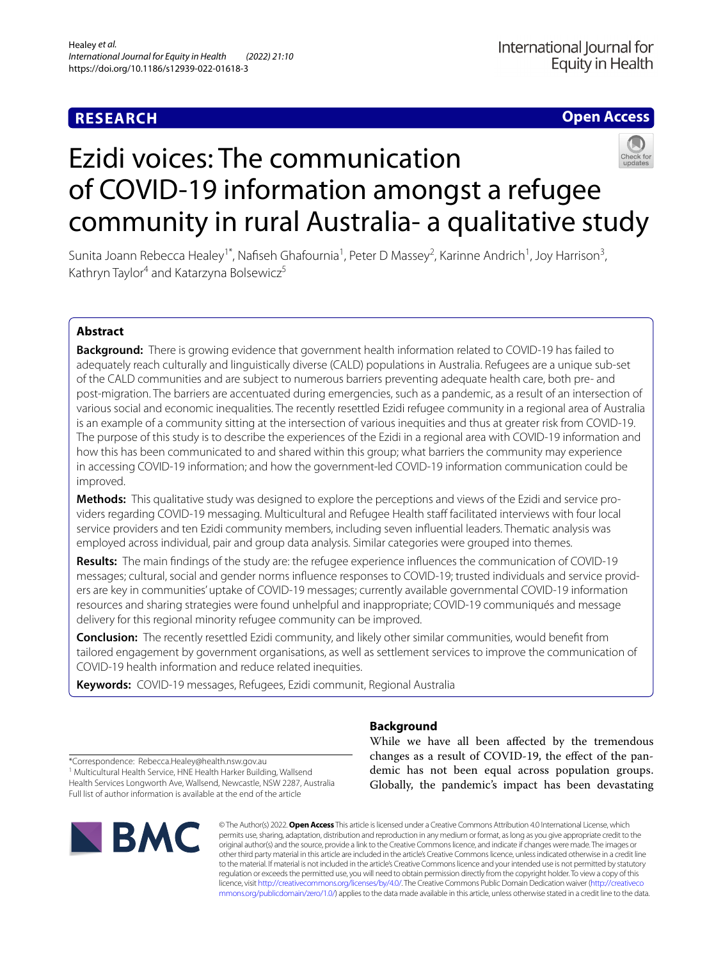# **RESEARCH**

# **Open Access**

# Ezidi voices: The communication of COVID-19 information amongst a refugee community in rural Australia- a qualitative study



Sunita Joann Rebecca Healey<sup>1\*</sup>, Nafiseh Ghafournia<sup>1</sup>, Peter D Massey<sup>2</sup>, Karinne Andrich<sup>1</sup>, Joy Harrison<sup>3</sup>, Kathryn Taylor<sup>4</sup> and Katarzyna Bolsewicz<sup>5</sup>

## **Abstract**

**Background:** There is growing evidence that government health information related to COVID-19 has failed to adequately reach culturally and linguistically diverse (CALD) populations in Australia. Refugees are a unique sub-set of the CALD communities and are subject to numerous barriers preventing adequate health care, both pre- and post-migration. The barriers are accentuated during emergencies, such as a pandemic, as a result of an intersection of various social and economic inequalities. The recently resettled Ezidi refugee community in a regional area of Australia is an example of a community sitting at the intersection of various inequities and thus at greater risk from COVID-19. The purpose of this study is to describe the experiences of the Ezidi in a regional area with COVID-19 information and how this has been communicated to and shared within this group; what barriers the community may experience in accessing COVID-19 information; and how the government-led COVID-19 information communication could be improved.

**Methods:** This qualitative study was designed to explore the perceptions and views of the Ezidi and service providers regarding COVID-19 messaging. Multicultural and Refugee Health staff facilitated interviews with four local service providers and ten Ezidi community members, including seven infuential leaders. Thematic analysis was employed across individual, pair and group data analysis. Similar categories were grouped into themes.

**Results:** The main fndings of the study are: the refugee experience infuences the communication of COVID-19 messages; cultural, social and gender norms infuence responses to COVID-19; trusted individuals and service providers are key in communities' uptake of COVID-19 messages; currently available governmental COVID-19 information resources and sharing strategies were found unhelpful and inappropriate; COVID-19 communiqués and message delivery for this regional minority refugee community can be improved.

**Conclusion:** The recently resettled Ezidi community, and likely other similar communities, would beneft from tailored engagement by government organisations, as well as settlement services to improve the communication of COVID-19 health information and reduce related inequities.

**Keywords:** COVID-19 messages, Refugees, Ezidi communit, Regional Australia

## **Background**

While we have all been afected by the tremendous changes as a result of COVID-19, the efect of the pandemic has not been equal across population groups. Globally, the pandemic's impact has been devastating

\*Correspondence: Rebecca.Healey@health.nsw.gov.au

<sup>1</sup> Multicultural Health Service, HNE Health Harker Building, Wallsend Health Services Longworth Ave, Wallsend, Newcastle, NSW 2287, Australia Full list of author information is available at the end of the article



© The Author(s) 2022. **Open Access** This article is licensed under a Creative Commons Attribution 4.0 International License, which permits use, sharing, adaptation, distribution and reproduction in any medium or format, as long as you give appropriate credit to the original author(s) and the source, provide a link to the Creative Commons licence, and indicate if changes were made. The images or other third party material in this article are included in the article's Creative Commons licence, unless indicated otherwise in a credit line to the material. If material is not included in the article's Creative Commons licence and your intended use is not permitted by statutory regulation or exceeds the permitted use, you will need to obtain permission directly from the copyright holder. To view a copy of this licence, visit [http://creativecommons.org/licenses/by/4.0/.](http://creativecommons.org/licenses/by/4.0/) The Creative Commons Public Domain Dedication waiver ([http://creativeco](http://creativecommons.org/publicdomain/zero/1.0/) [mmons.org/publicdomain/zero/1.0/](http://creativecommons.org/publicdomain/zero/1.0/)) applies to the data made available in this article, unless otherwise stated in a credit line to the data.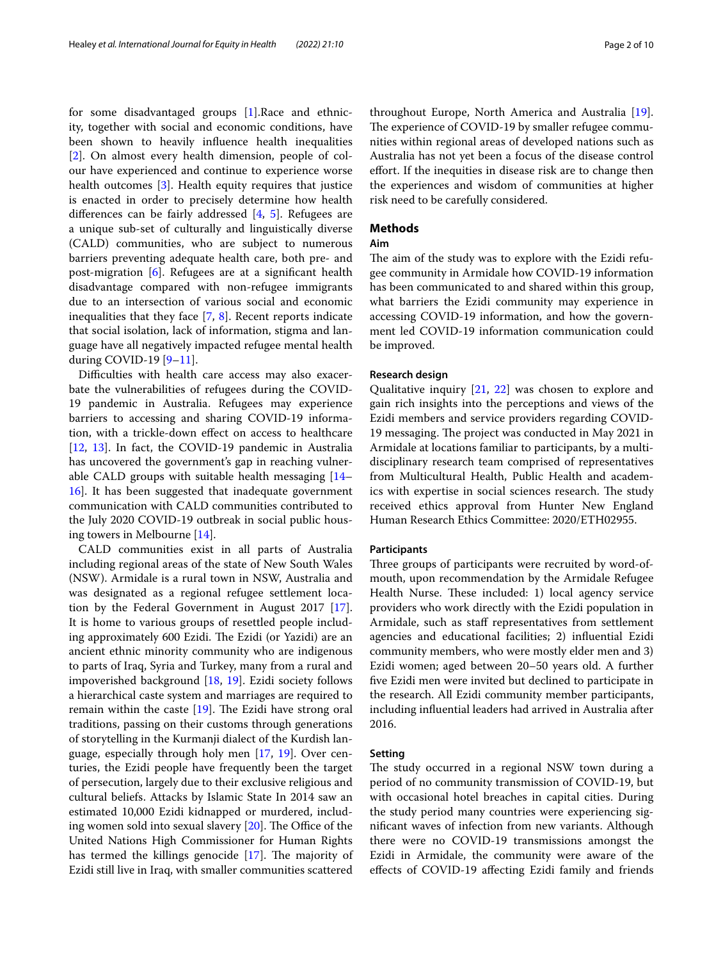for some disadvantaged groups [\[1](#page-9-0)].Race and ethnicity, together with social and economic conditions, have been shown to heavily infuence health inequalities [[2\]](#page-9-1). On almost every health dimension, people of colour have experienced and continue to experience worse health outcomes [[3](#page-9-2)]. Health equity requires that justice is enacted in order to precisely determine how health diferences can be fairly addressed [\[4](#page-9-3), [5\]](#page-9-4). Refugees are a unique sub-set of culturally and linguistically diverse (CALD) communities, who are subject to numerous barriers preventing adequate health care, both pre- and post-migration [\[6](#page-9-5)]. Refugees are at a signifcant health disadvantage compared with non-refugee immigrants due to an intersection of various social and economic inequalities that they face [[7,](#page-9-6) [8](#page-9-7)]. Recent reports indicate that social isolation, lack of information, stigma and language have all negatively impacted refugee mental health during COVID-19 [\[9](#page-9-8)–[11\]](#page-9-9).

Difficulties with health care access may also exacerbate the vulnerabilities of refugees during the COVID-19 pandemic in Australia. Refugees may experience barriers to accessing and sharing COVID-19 information, with a trickle-down efect on access to healthcare [[12,](#page-9-10) [13\]](#page-9-11). In fact, the COVID-19 pandemic in Australia has uncovered the government's gap in reaching vulnerable CALD groups with suitable health messaging [[14–](#page-9-12) [16\]](#page-9-13). It has been suggested that inadequate government communication with CALD communities contributed to the July 2020 COVID-19 outbreak in social public housing towers in Melbourne [[14\]](#page-9-12).

CALD communities exist in all parts of Australia including regional areas of the state of New South Wales (NSW). Armidale is a rural town in NSW, Australia and was designated as a regional refugee settlement location by the Federal Government in August 2017 [\[17](#page-9-14)]. It is home to various groups of resettled people including approximately 600 Ezidi. The Ezidi (or Yazidi) are an ancient ethnic minority community who are indigenous to parts of Iraq, Syria and Turkey, many from a rural and impoverished background [\[18](#page-9-15), [19\]](#page-9-16). Ezidi society follows a hierarchical caste system and marriages are required to remain within the caste  $[19]$ . The Ezidi have strong oral traditions, passing on their customs through generations of storytelling in the Kurmanji dialect of the Kurdish language, especially through holy men [\[17](#page-9-14), [19\]](#page-9-16). Over centuries, the Ezidi people have frequently been the target of persecution, largely due to their exclusive religious and cultural beliefs. Attacks by Islamic State In 2014 saw an estimated 10,000 Ezidi kidnapped or murdered, including women sold into sexual slavery  $[20]$  $[20]$ . The Office of the United Nations High Commissioner for Human Rights has termed the killings genocide  $[17]$  $[17]$ . The majority of Ezidi still live in Iraq, with smaller communities scattered throughout Europe, North America and Australia [\[19](#page-9-16)]. The experience of COVID-19 by smaller refugee communities within regional areas of developed nations such as Australia has not yet been a focus of the disease control efort. If the inequities in disease risk are to change then the experiences and wisdom of communities at higher risk need to be carefully considered.

## **Methods**

## **Aim**

The aim of the study was to explore with the Ezidi refugee community in Armidale how COVID-19 information has been communicated to and shared within this group, what barriers the Ezidi community may experience in accessing COVID-19 information, and how the government led COVID-19 information communication could be improved.

## **Research design**

Qualitative inquiry [\[21](#page-9-18), [22](#page-9-19)] was chosen to explore and gain rich insights into the perceptions and views of the Ezidi members and service providers regarding COVID-19 messaging. The project was conducted in May 2021 in Armidale at locations familiar to participants, by a multidisciplinary research team comprised of representatives from Multicultural Health, Public Health and academics with expertise in social sciences research. The study received ethics approval from Hunter New England Human Research Ethics Committee: 2020/ETH02955.

### **Participants**

Three groups of participants were recruited by word-ofmouth, upon recommendation by the Armidale Refugee Health Nurse. These included: 1) local agency service providers who work directly with the Ezidi population in Armidale, such as staff representatives from settlement agencies and educational facilities; 2) infuential Ezidi community members, who were mostly elder men and 3) Ezidi women; aged between 20–50 years old. A further fve Ezidi men were invited but declined to participate in the research. All Ezidi community member participants, including infuential leaders had arrived in Australia after 2016.

### **Setting**

The study occurred in a regional NSW town during a period of no community transmission of COVID-19, but with occasional hotel breaches in capital cities. During the study period many countries were experiencing signifcant waves of infection from new variants. Although there were no COVID-19 transmissions amongst the Ezidi in Armidale, the community were aware of the efects of COVID-19 afecting Ezidi family and friends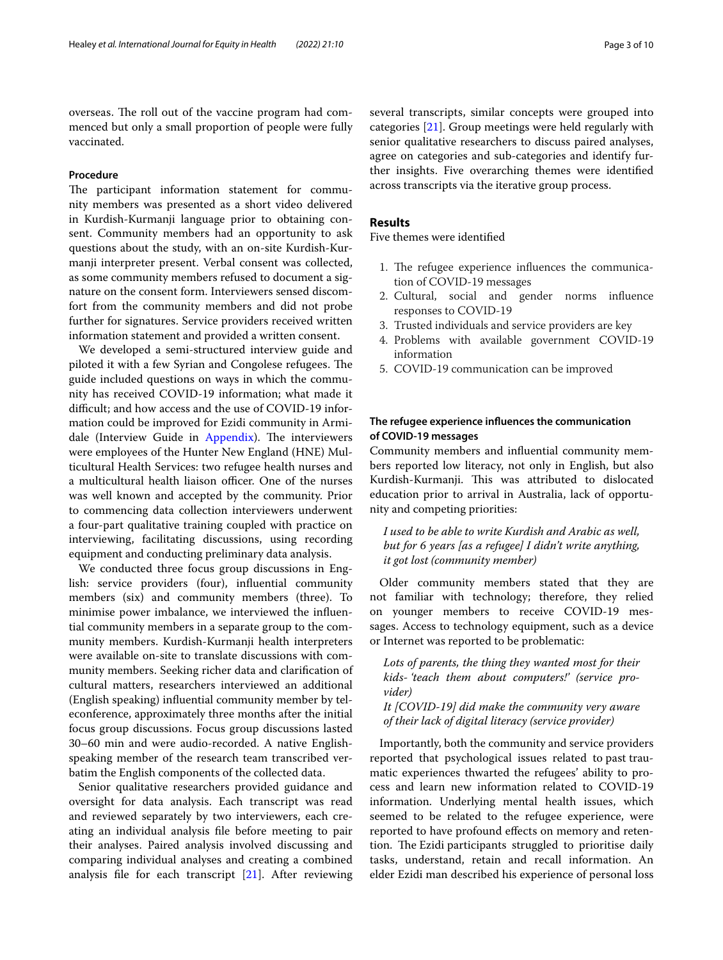overseas. The roll out of the vaccine program had commenced but only a small proportion of people were fully vaccinated.

## **Procedure**

The participant information statement for community members was presented as a short video delivered in Kurdish-Kurmanji language prior to obtaining consent. Community members had an opportunity to ask questions about the study, with an on-site Kurdish-Kurmanji interpreter present. Verbal consent was collected, as some community members refused to document a signature on the consent form. Interviewers sensed discomfort from the community members and did not probe further for signatures. Service providers received written information statement and provided a written consent.

We developed a semi-structured interview guide and piloted it with a few Syrian and Congolese refugees. The guide included questions on ways in which the community has received COVID-19 information; what made it difficult; and how access and the use of COVID-19 information could be improved for Ezidi community in Armi-dale (Interview Guide in [Appendix](#page-8-0)). The interviewers were employees of the Hunter New England (HNE) Multicultural Health Services: two refugee health nurses and a multicultural health liaison officer. One of the nurses was well known and accepted by the community. Prior to commencing data collection interviewers underwent a four-part qualitative training coupled with practice on interviewing, facilitating discussions, using recording equipment and conducting preliminary data analysis.

We conducted three focus group discussions in English: service providers (four), infuential community members (six) and community members (three). To minimise power imbalance, we interviewed the infuential community members in a separate group to the community members. Kurdish-Kurmanji health interpreters were available on-site to translate discussions with community members. Seeking richer data and clarifcation of cultural matters, researchers interviewed an additional (English speaking) infuential community member by teleconference, approximately three months after the initial focus group discussions. Focus group discussions lasted 30–60 min and were audio-recorded. A native Englishspeaking member of the research team transcribed verbatim the English components of the collected data.

Senior qualitative researchers provided guidance and oversight for data analysis. Each transcript was read and reviewed separately by two interviewers, each creating an individual analysis fle before meeting to pair their analyses. Paired analysis involved discussing and comparing individual analyses and creating a combined analysis file for each transcript  $[21]$  $[21]$ . After reviewing

several transcripts, similar concepts were grouped into categories [[21\]](#page-9-18). Group meetings were held regularly with senior qualitative researchers to discuss paired analyses, agree on categories and sub-categories and identify further insights. Five overarching themes were identifed across transcripts via the iterative group process.

## **Results**

Five themes were identifed

- 1. The refugee experience influences the communication of COVID-19 messages
- 2. Cultural, social and gender norms infuence responses to COVID-19
- 3. Trusted individuals and service providers are key
- 4. Problems with available government COVID-19 information
- 5. COVID-19 communication can be improved

## **The refugee experience infuences the communication of COVID‑19 messages**

Community members and infuential community members reported low literacy, not only in English, but also Kurdish-Kurmanji. This was attributed to dislocated education prior to arrival in Australia, lack of opportunity and competing priorities:

*I used to be able to write Kurdish and Arabic as well, but for 6 years [as a refugee] I didn't write anything, it got lost (community member)*

Older community members stated that they are not familiar with technology; therefore, they relied on younger members to receive COVID-19 messages. Access to technology equipment, such as a device or Internet was reported to be problematic:

*Lots of parents, the thing they wanted most for their kids- 'teach them about computers!' (service provider)*

*It [COVID-19] did make the community very aware of their lack of digital literacy (service provider)*

Importantly, both the community and service providers reported that psychological issues related to past traumatic experiences thwarted the refugees' ability to process and learn new information related to COVID-19 information. Underlying mental health issues, which seemed to be related to the refugee experience, were reported to have profound efects on memory and retention. The Ezidi participants struggled to prioritise daily tasks, understand, retain and recall information. An elder Ezidi man described his experience of personal loss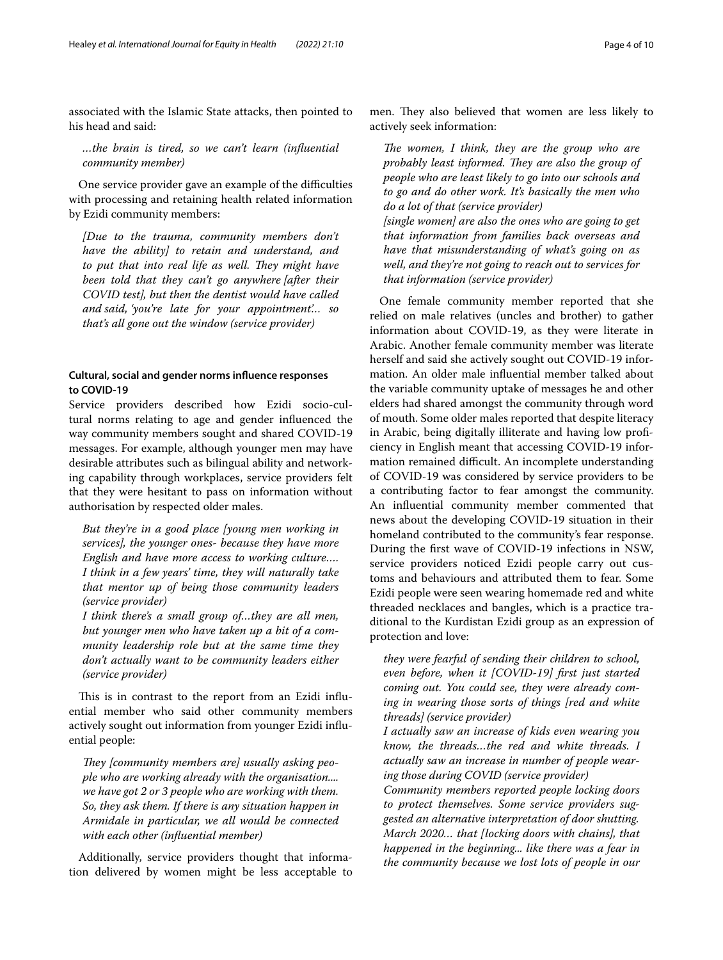associated with the Islamic State attacks, then pointed to his head and said:

*…the brain is tired, so we can't learn (infuential community member)*

One service provider gave an example of the difficulties with processing and retaining health related information by Ezidi community members:

*[Due to the trauma, community members don't have the ability] to retain and understand, and*  to put that into real life as well. They might have *been told that they can't go anywhere [after their COVID test], but then the dentist would have called and said, 'you're late for your appointment'… so that's all gone out the window (service provider)*

## **Cultural, social and gender norms infuence responses to COVID‑19**

Service providers described how Ezidi socio-cultural norms relating to age and gender infuenced the way community members sought and shared COVID-19 messages. For example, although younger men may have desirable attributes such as bilingual ability and networking capability through workplaces, service providers felt that they were hesitant to pass on information without authorisation by respected older males.

*But they're in a good place [young men working in services], the younger ones- because they have more English and have more access to working culture…. I think in a few years' time, they will naturally take that mentor up of being those community leaders (service provider)*

*I think there's a small group of…they are all men, but younger men who have taken up a bit of a community leadership role but at the same time they don't actually want to be community leaders either (service provider)*

This is in contrast to the report from an Ezidi influential member who said other community members actively sought out information from younger Ezidi infuential people:

They *[community members are]* usually asking peo*ple who are working already with the organisation.... we have got 2 or 3 people who are working with them. So, they ask them. If there is any situation happen in Armidale in particular, we all would be connected with each other (infuential member)*

Additionally, service providers thought that information delivered by women might be less acceptable to

men. They also believed that women are less likely to actively seek information:

*The women, I think, they are the group who are probably least informed. They are also the group of people who are least likely to go into our schools and to go and do other work. It's basically the men who do a lot of that (service provider)*

*[single women] are also the ones who are going to get that information from families back overseas and have that misunderstanding of what's going on as well, and they're not going to reach out to services for that information (service provider)*

One female community member reported that she relied on male relatives (uncles and brother) to gather information about COVID-19, as they were literate in Arabic. Another female community member was literate herself and said she actively sought out COVID-19 information. An older male infuential member talked about the variable community uptake of messages he and other elders had shared amongst the community through word of mouth. Some older males reported that despite literacy in Arabic, being digitally illiterate and having low profciency in English meant that accessing COVID-19 information remained difficult. An incomplete understanding of COVID-19 was considered by service providers to be a contributing factor to fear amongst the community. An infuential community member commented that news about the developing COVID-19 situation in their homeland contributed to the community's fear response. During the frst wave of COVID-19 infections in NSW, service providers noticed Ezidi people carry out customs and behaviours and attributed them to fear. Some Ezidi people were seen wearing homemade red and white threaded necklaces and bangles, which is a practice traditional to the Kurdistan Ezidi group as an expression of protection and love:

*they were fearful of sending their children to school, even before, when it [COVID-19] frst just started coming out. You could see, they were already coming in wearing those sorts of things [red and white threads] (service provider)*

*I actually saw an increase of kids even wearing you know, the threads…the red and white threads. I actually saw an increase in number of people wearing those during COVID (service provider)*

*Community members reported people locking doors to protect themselves. Some service providers suggested an alternative interpretation of door shutting. March 2020… that [locking doors with chains], that happened in the beginning... like there was a fear in the community because we lost lots of people in our*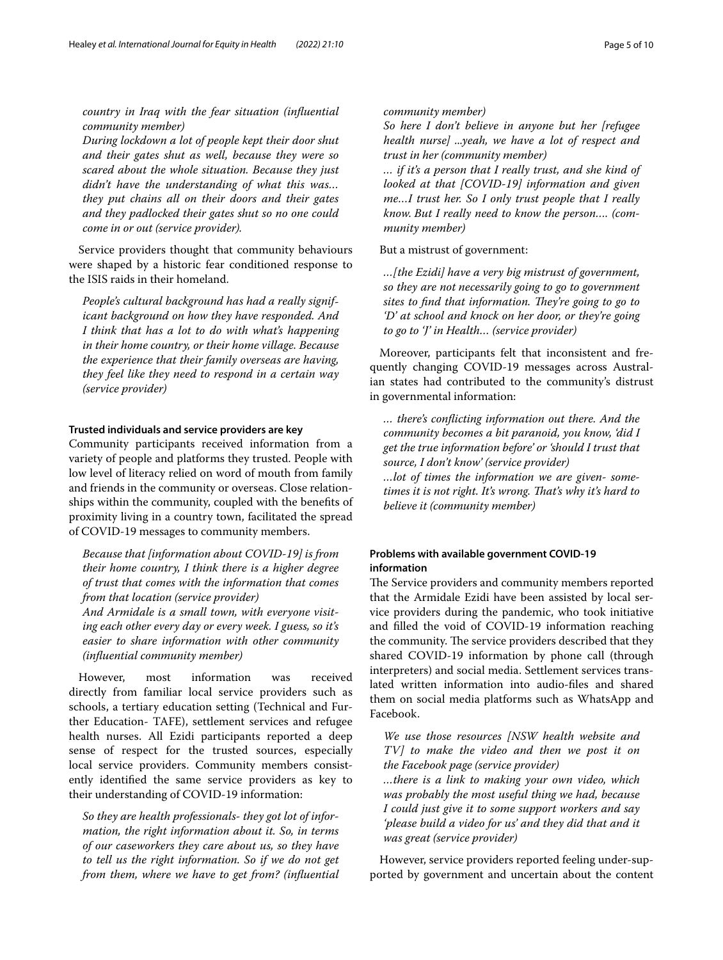*country in Iraq with the fear situation (infuential community member)*

*During lockdown a lot of people kept their door shut and their gates shut as well, because they were so scared about the whole situation. Because they just didn't have the understanding of what this was… they put chains all on their doors and their gates and they padlocked their gates shut so no one could come in or out (service provider).*

Service providers thought that community behaviours were shaped by a historic fear conditioned response to the ISIS raids in their homeland.

*People's cultural background has had a really significant background on how they have responded. And I think that has a lot to do with what's happening in their home country, or their home village. Because the experience that their family overseas are having, they feel like they need to respond in a certain way (service provider)*

## **Trusted individuals and service providers are key**

Community participants received information from a variety of people and platforms they trusted. People with low level of literacy relied on word of mouth from family and friends in the community or overseas. Close relationships within the community, coupled with the benefts of proximity living in a country town, facilitated the spread of COVID-19 messages to community members.

*Because that [information about COVID-19] is from their home country, I think there is a higher degree of trust that comes with the information that comes from that location (service provider)*

*And Armidale is a small town, with everyone visiting each other every day or every week. I guess, so it's easier to share information with other community (infuential community member)*

However, most information was received directly from familiar local service providers such as schools, a tertiary education setting (Technical and Further Education- TAFE), settlement services and refugee health nurses. All Ezidi participants reported a deep sense of respect for the trusted sources, especially local service providers. Community members consistently identifed the same service providers as key to their understanding of COVID-19 information:

*So they are health professionals- they got lot of information, the right information about it. So, in terms of our caseworkers they care about us, so they have to tell us the right information. So if we do not get from them, where we have to get from? (infuential* 

## *community member)*

*So here I don't believe in anyone but her [refugee health nurse] ...yeah, we have a lot of respect and trust in her (community member)*

*… if it's a person that I really trust, and she kind of looked at that [COVID-19] information and given me…I trust her. So I only trust people that I really know. But I really need to know the person…. (community member)*

But a mistrust of government:

*…[the Ezidi] have a very big mistrust of government, so they are not necessarily going to go to government*  sites to find that information. They're going to go to *'D' at school and knock on her door, or they're going to go to 'J' in Health… (service provider)*

Moreover, participants felt that inconsistent and frequently changing COVID-19 messages across Australian states had contributed to the community's distrust in governmental information:

*… there's conficting information out there. And the community becomes a bit paranoid, you know, 'did I get the true information before' or 'should I trust that source, I don't know' (service provider) …lot of times the information we are given- sometimes it is not right. It's wrong. Tat's why it's hard to believe it (community member)*

## **Problems with available government COVID‑19 information**

The Service providers and community members reported that the Armidale Ezidi have been assisted by local service providers during the pandemic, who took initiative and flled the void of COVID-19 information reaching the community. The service providers described that they shared COVID-19 information by phone call (through interpreters) and social media. Settlement services translated written information into audio-fles and shared them on social media platforms such as WhatsApp and Facebook.

*We use those resources [NSW health website and TV] to make the video and then we post it on the Facebook page (service provider)*

*…there is a link to making your own video, which was probably the most useful thing we had, because I could just give it to some support workers and say 'please build a video for us' and they did that and it was great (service provider)*

However, service providers reported feeling under-supported by government and uncertain about the content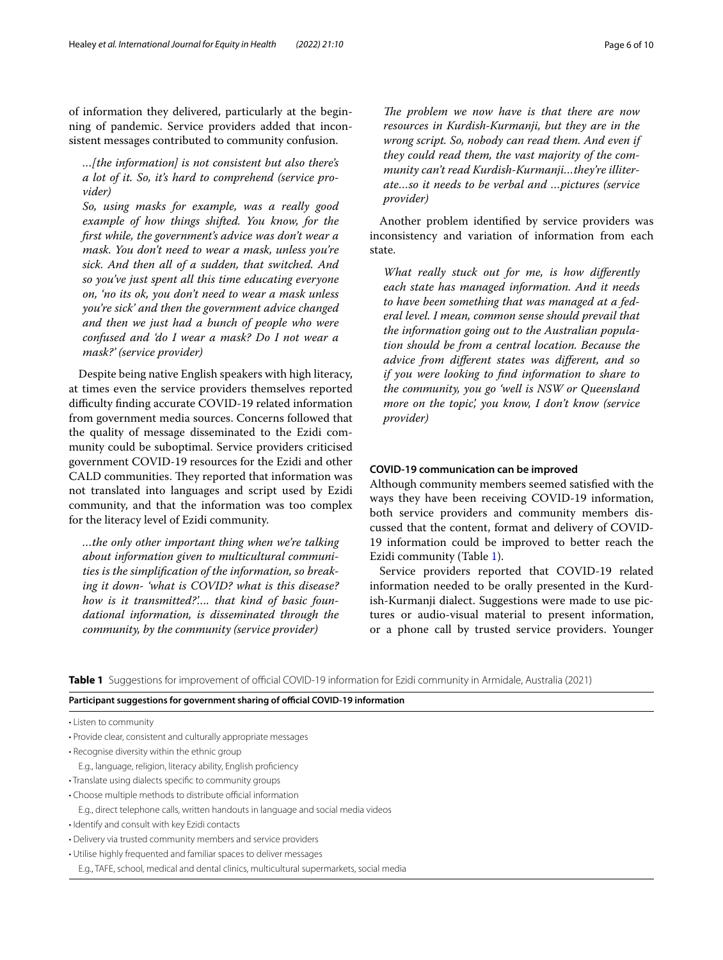of information they delivered, particularly at the beginning of pandemic. Service providers added that inconsistent messages contributed to community confusion.

*…[the information] is not consistent but also there's a lot of it. So, it's hard to comprehend (service provider)*

*So, using masks for example, was a really good example of how things shifted. You know, for the frst while, the government's advice was don't wear a mask. You don't need to wear a mask, unless you're sick. And then all of a sudden, that switched. And so you've just spent all this time educating everyone on, 'no its ok, you don't need to wear a mask unless you're sick' and then the government advice changed and then we just had a bunch of people who were confused and 'do I wear a mask? Do I not wear a mask?' (service provider)*

Despite being native English speakers with high literacy, at times even the service providers themselves reported difficulty finding accurate COVID-19 related information from government media sources. Concerns followed that the quality of message disseminated to the Ezidi community could be suboptimal. Service providers criticised government COVID-19 resources for the Ezidi and other CALD communities. They reported that information was not translated into languages and script used by Ezidi community, and that the information was too complex for the literacy level of Ezidi community.

*…the only other important thing when we're talking about information given to multicultural communities is the simplifcation of the information, so breaking it down- 'what is COVID? what is this disease? how is it transmitted?'…. that kind of basic foundational information, is disseminated through the community, by the community (service provider)*

The problem we now have is that there are now *resources in Kurdish-Kurmanji, but they are in the wrong script. So, nobody can read them. And even if they could read them, the vast majority of the community can't read Kurdish-Kurmanji…they're illiterate…so it needs to be verbal and …pictures (service provider)*

Another problem identifed by service providers was inconsistency and variation of information from each state.

*What really stuck out for me, is how diferently each state has managed information. And it needs to have been something that was managed at a federal level. I mean, common sense should prevail that the information going out to the Australian population should be from a central location. Because the advice from diferent states was diferent, and so if you were looking to fnd information to share to the community, you go 'well is NSW or Queensland more on the topic', you know, I don't know (service provider)*

## **COVID‑19 communication can be improved**

Although community members seemed satisfed with the ways they have been receiving COVID-19 information, both service providers and community members discussed that the content, format and delivery of COVID-19 information could be improved to better reach the Ezidi community (Table [1\)](#page-5-0).

Service providers reported that COVID-19 related information needed to be orally presented in the Kurdish-Kurmanji dialect. Suggestions were made to use pictures or audio-visual material to present information, or a phone call by trusted service providers. Younger

<span id="page-5-0"></span>**Table 1** Suggestions for improvement of official COVID-19 information for Ezidi community in Armidale, Australia (2021)

## Participant suggestions for government sharing of official COVID-19 information

• Listen to community

- Recognise diversity within the ethnic group
- E.g., language, religion, literacy ability, English profciency
- Translate using dialects specifc to community groups
- Choose multiple methods to distribute official information
	- E.g., direct telephone calls, written handouts in language and social media videos
- Identify and consult with key Ezidi contacts
- Delivery via trusted community members and service providers
- Utilise highly frequented and familiar spaces to deliver messages
- E.g., TAFE, school, medical and dental clinics, multicultural supermarkets, social media

<sup>•</sup> Provide clear, consistent and culturally appropriate messages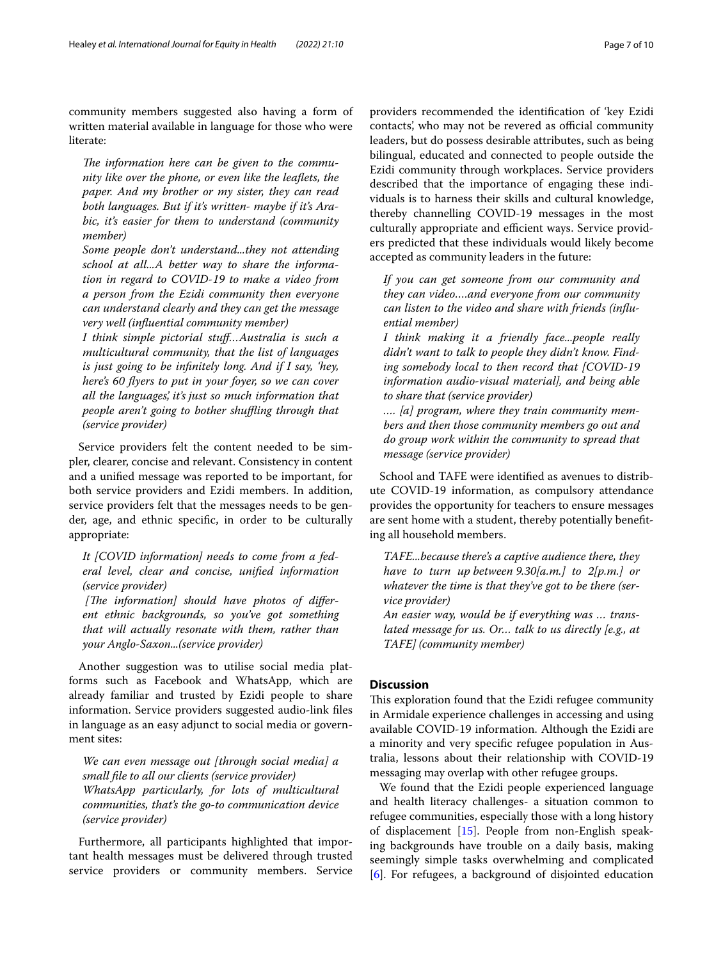community members suggested also having a form of written material available in language for those who were literate:

The information here can be given to the commu*nity like over the phone, or even like the leafets, the paper. And my brother or my sister, they can read both languages. But if it's written- maybe if it's Arabic, it's easier for them to understand (community member)*

*Some people don't understand...they not attending school at all...A better way to share the information in regard to COVID-19 to make a video from a person from the Ezidi community then everyone can understand clearly and they can get the message very well (infuential community member)*

*I think simple pictorial stuf…Australia is such a multicultural community, that the list of languages is just going to be infnitely long. And if I say, 'hey, here's 60 fyers to put in your foyer, so we can cover all the languages', it's just so much information that people aren't going to bother shufing through that (service provider)*

Service providers felt the content needed to be simpler, clearer, concise and relevant. Consistency in content and a unifed message was reported to be important, for both service providers and Ezidi members. In addition, service providers felt that the messages needs to be gender, age, and ethnic specifc, in order to be culturally appropriate:

*It [COVID information] needs to come from a federal level, clear and concise, unifed information (service provider)*

[The information] should have photos of differ*ent ethnic backgrounds, so you've got something that will actually resonate with them, rather than your Anglo-Saxon...(service provider)*

Another suggestion was to utilise social media platforms such as Facebook and WhatsApp, which are already familiar and trusted by Ezidi people to share information. Service providers suggested audio-link fles in language as an easy adjunct to social media or government sites:

*We can even message out [through social media] a small fle to all our clients (service provider) WhatsApp particularly, for lots of multicultural communities, that's the go-to communication device (service provider)*

Furthermore, all participants highlighted that important health messages must be delivered through trusted service providers or community members. Service providers recommended the identifcation of 'key Ezidi contacts', who may not be revered as official community leaders, but do possess desirable attributes, such as being bilingual, educated and connected to people outside the Ezidi community through workplaces. Service providers described that the importance of engaging these individuals is to harness their skills and cultural knowledge, thereby channelling COVID-19 messages in the most culturally appropriate and efficient ways. Service providers predicted that these individuals would likely become accepted as community leaders in the future:

*If you can get someone from our community and they can video….and everyone from our community can listen to the video and share with friends (infuential member)*

*I think making it a friendly face...people really didn't want to talk to people they didn't know. Finding somebody local to then record that [COVID-19 information audio-visual material], and being able to share that (service provider)*

*…. [a] program, where they train community members and then those community members go out and do group work within the community to spread that message (service provider)*

School and TAFE were identifed as avenues to distribute COVID-19 information, as compulsory attendance provides the opportunity for teachers to ensure messages are sent home with a student, thereby potentially benefting all household members.

*TAFE...because there's a captive audience there, they have to turn up between 9.30[a.m.] to 2[p.m.] or whatever the time is that they've got to be there (service provider)*

*An easier way, would be if everything was … translated message for us. Or… talk to us directly [e.g., at TAFE] (community member)*

## **Discussion**

This exploration found that the Ezidi refugee community in Armidale experience challenges in accessing and using available COVID-19 information. Although the Ezidi are a minority and very specifc refugee population in Australia, lessons about their relationship with COVID-19 messaging may overlap with other refugee groups.

We found that the Ezidi people experienced language and health literacy challenges- a situation common to refugee communities, especially those with a long history of displacement [\[15\]](#page-9-20). People from non-English speaking backgrounds have trouble on a daily basis, making seemingly simple tasks overwhelming and complicated [[6\]](#page-9-5). For refugees, a background of disjointed education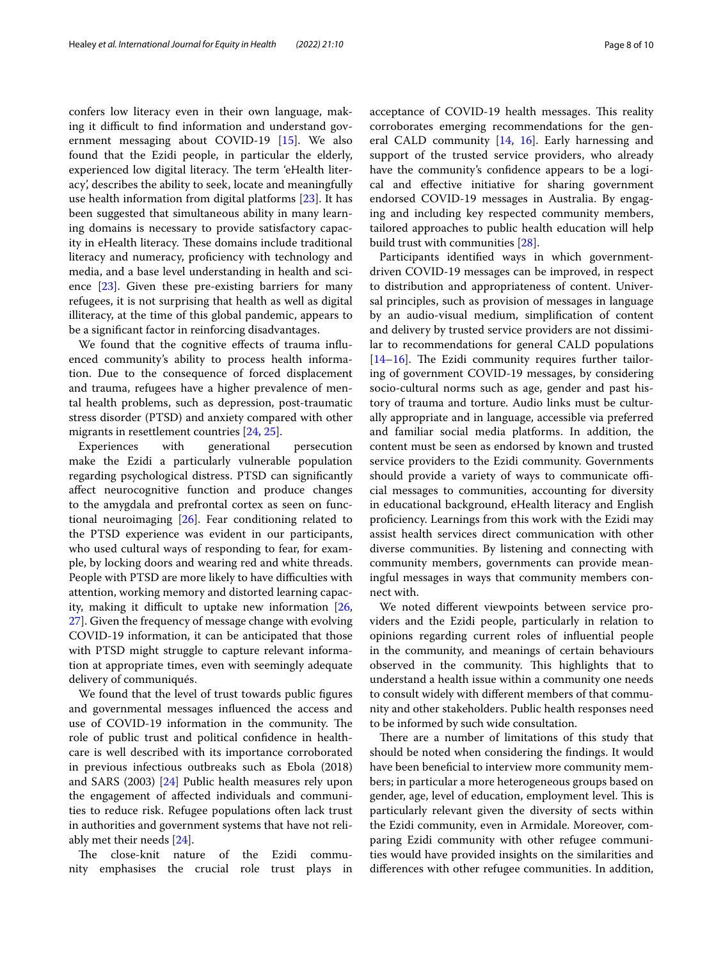confers low literacy even in their own language, making it difficult to find information and understand government messaging about COVID-19 [\[15](#page-9-20)]. We also found that the Ezidi people, in particular the elderly, experienced low digital literacy. The term 'eHealth literacy', describes the ability to seek, locate and meaningfully use health information from digital platforms [[23\]](#page-9-21). It has been suggested that simultaneous ability in many learning domains is necessary to provide satisfactory capacity in eHealth literacy. These domains include traditional literacy and numeracy, proficiency with technology and media, and a base level understanding in health and science [[23\]](#page-9-21). Given these pre-existing barriers for many refugees, it is not surprising that health as well as digital illiteracy, at the time of this global pandemic, appears to be a signifcant factor in reinforcing disadvantages.

We found that the cognitive efects of trauma infuenced community's ability to process health information. Due to the consequence of forced displacement and trauma, refugees have a higher prevalence of mental health problems, such as depression, post-traumatic stress disorder (PTSD) and anxiety compared with other migrants in resettlement countries [\[24,](#page-9-22) [25](#page-9-23)].

Experiences with generational persecution make the Ezidi a particularly vulnerable population regarding psychological distress. PTSD can signifcantly afect neurocognitive function and produce changes to the amygdala and prefrontal cortex as seen on functional neuroimaging [[26\]](#page-9-24). Fear conditioning related to the PTSD experience was evident in our participants, who used cultural ways of responding to fear, for example, by locking doors and wearing red and white threads. People with PTSD are more likely to have difficulties with attention, working memory and distorted learning capacity, making it difficult to uptake new information  $[26,$  $[26,$ [27\]](#page-9-25). Given the frequency of message change with evolving COVID-19 information, it can be anticipated that those with PTSD might struggle to capture relevant information at appropriate times, even with seemingly adequate delivery of communiqués.

We found that the level of trust towards public fgures and governmental messages infuenced the access and use of COVID-19 information in the community. The role of public trust and political confdence in healthcare is well described with its importance corroborated in previous infectious outbreaks such as Ebola (2018) and SARS (2003) [[24](#page-9-22)] Public health measures rely upon the engagement of afected individuals and communities to reduce risk. Refugee populations often lack trust in authorities and government systems that have not reliably met their needs [[24\]](#page-9-22).

The close-knit nature of the Ezidi community emphasises the crucial role trust plays in acceptance of COVID-19 health messages. This reality corroborates emerging recommendations for the gen-eral CALD community [[14](#page-9-12), [16](#page-9-13)]. Early harnessing and support of the trusted service providers, who already have the community's confdence appears to be a logical and efective initiative for sharing government endorsed COVID-19 messages in Australia. By engaging and including key respected community members, tailored approaches to public health education will help build trust with communities [\[28](#page-9-26)].

Participants identifed ways in which governmentdriven COVID-19 messages can be improved, in respect to distribution and appropriateness of content. Universal principles, such as provision of messages in language by an audio-visual medium, simplifcation of content and delivery by trusted service providers are not dissimilar to recommendations for general CALD populations  $[14–16]$  $[14–16]$  $[14–16]$ . The Ezidi community requires further tailoring of government COVID-19 messages, by considering socio-cultural norms such as age, gender and past history of trauma and torture. Audio links must be culturally appropriate and in language, accessible via preferred and familiar social media platforms. In addition, the content must be seen as endorsed by known and trusted service providers to the Ezidi community. Governments should provide a variety of ways to communicate official messages to communities, accounting for diversity in educational background, eHealth literacy and English profciency. Learnings from this work with the Ezidi may assist health services direct communication with other diverse communities. By listening and connecting with community members, governments can provide meaningful messages in ways that community members connect with.

We noted diferent viewpoints between service providers and the Ezidi people, particularly in relation to opinions regarding current roles of infuential people in the community, and meanings of certain behaviours observed in the community. This highlights that to understand a health issue within a community one needs to consult widely with diferent members of that community and other stakeholders. Public health responses need to be informed by such wide consultation.

There are a number of limitations of this study that should be noted when considering the fndings. It would have been benefcial to interview more community members; in particular a more heterogeneous groups based on gender, age, level of education, employment level. This is particularly relevant given the diversity of sects within the Ezidi community, even in Armidale. Moreover, comparing Ezidi community with other refugee communities would have provided insights on the similarities and diferences with other refugee communities. In addition,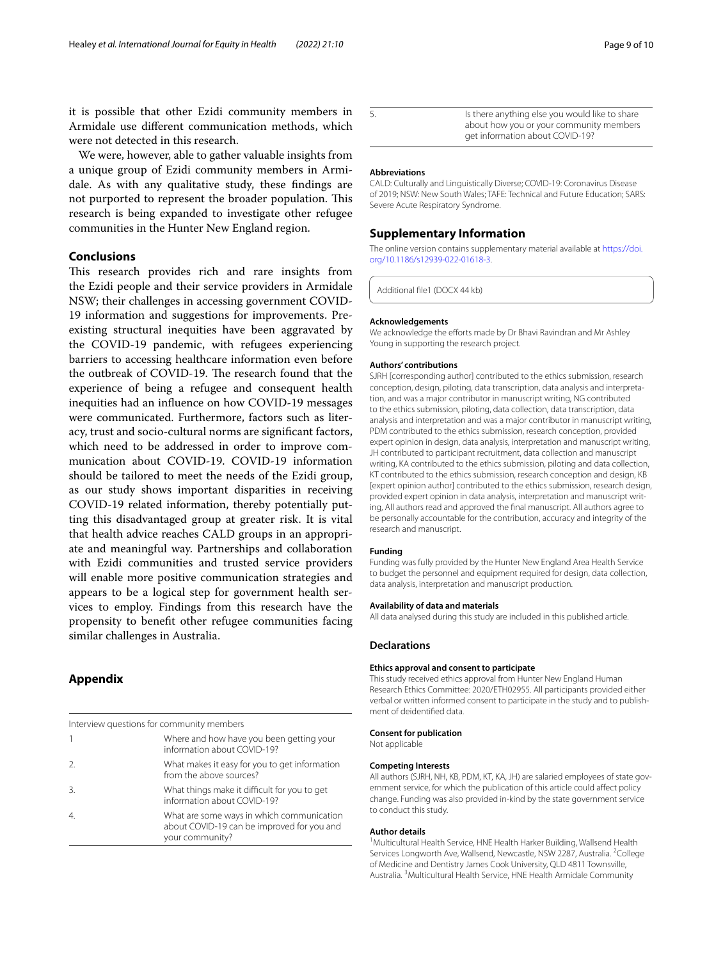it is possible that other Ezidi community members in Armidale use diferent communication methods, which were not detected in this research.

We were, however, able to gather valuable insights from a unique group of Ezidi community members in Armidale. As with any qualitative study, these fndings are not purported to represent the broader population. This research is being expanded to investigate other refugee communities in the Hunter New England region.

## **Conclusions**

This research provides rich and rare insights from the Ezidi people and their service providers in Armidale NSW; their challenges in accessing government COVID-19 information and suggestions for improvements. Preexisting structural inequities have been aggravated by the COVID-19 pandemic, with refugees experiencing barriers to accessing healthcare information even before the outbreak of COVID-19. The research found that the experience of being a refugee and consequent health inequities had an infuence on how COVID-19 messages were communicated. Furthermore, factors such as literacy, trust and socio-cultural norms are signifcant factors, which need to be addressed in order to improve communication about COVID-19. COVID-19 information should be tailored to meet the needs of the Ezidi group, as our study shows important disparities in receiving COVID-19 related information, thereby potentially putting this disadvantaged group at greater risk. It is vital that health advice reaches CALD groups in an appropriate and meaningful way. Partnerships and collaboration with Ezidi communities and trusted service providers will enable more positive communication strategies and appears to be a logical step for government health services to employ. Findings from this research have the propensity to beneft other refugee communities facing similar challenges in Australia.

## <span id="page-8-0"></span>**Appendix**

| Interview questions for community members |                                                                                                            |
|-------------------------------------------|------------------------------------------------------------------------------------------------------------|
|                                           | Where and how have you been getting your<br>information about COVID-19?                                    |
| $\mathfrak{D}$                            | What makes it easy for you to get information<br>from the above sources?                                   |
| 3.                                        | What things make it difficult for you to get<br>information about COVID-19?                                |
| $\overline{4}$                            | What are some ways in which communication<br>about COVID-19 can be improved for you and<br>your community? |

#### **Abbreviations**

CALD: Culturally and Linguistically Diverse; COVID-19: Coronavirus Disease of 2019; NSW: New South Wales; TAFE: Technical and Future Education; SARS: Severe Acute Respiratory Syndrome.

### **Supplementary Information**

The online version contains supplementary material available at [https://doi.](https://doi.org/10.1186/s12939-022-01618-3) [org/10.1186/s12939-022-01618-3](https://doi.org/10.1186/s12939-022-01618-3).

Additional fle1 (DOCX 44 kb)

#### **Acknowledgements**

We acknowledge the efforts made by Dr Bhavi Ravindran and Mr Ashley Young in supporting the research project.

#### **Authors' contributions**

SJRH [corresponding author] contributed to the ethics submission, research conception, design, piloting, data transcription, data analysis and interpretation, and was a major contributor in manuscript writing, NG contributed to the ethics submission, piloting, data collection, data transcription, data analysis and interpretation and was a major contributor in manuscript writing, PDM contributed to the ethics submission, research conception, provided expert opinion in design, data analysis, interpretation and manuscript writing, JH contributed to participant recruitment, data collection and manuscript writing, KA contributed to the ethics submission, piloting and data collection, KT contributed to the ethics submission, research conception and design, KB [expert opinion author] contributed to the ethics submission, research design, provided expert opinion in data analysis, interpretation and manuscript writing, All authors read and approved the fnal manuscript. All authors agree to be personally accountable for the contribution, accuracy and integrity of the research and manuscript.

#### **Funding**

Funding was fully provided by the Hunter New England Area Health Service to budget the personnel and equipment required for design, data collection, data analysis, interpretation and manuscript production.

#### **Availability of data and materials**

All data analysed during this study are included in this published article.

#### **Declarations**

#### **Ethics approval and consent to participate**

This study received ethics approval from Hunter New England Human Research Ethics Committee: 2020/ETH02955. All participants provided either verbal or written informed consent to participate in the study and to publishment of deidentifed data.

#### **Consent for publication**

Not applicable

#### **Competing Interests**

All authors (SJRH, NH, KB, PDM, KT, KA, JH) are salaried employees of state government service, for which the publication of this article could afect policy change. Funding was also provided in-kind by the state government service to conduct this study.

#### **Author details**

<sup>1</sup> Multicultural Health Service, HNE Health Harker Building, Wallsend Health Services Longworth Ave, Wallsend, Newcastle, NSW 2287, Australia. <sup>2</sup>College of Medicine and Dentistry James Cook University, QLD 4811 Townsville, Australia. <sup>3</sup> Multicultural Health Service, HNE Health Armidale Community